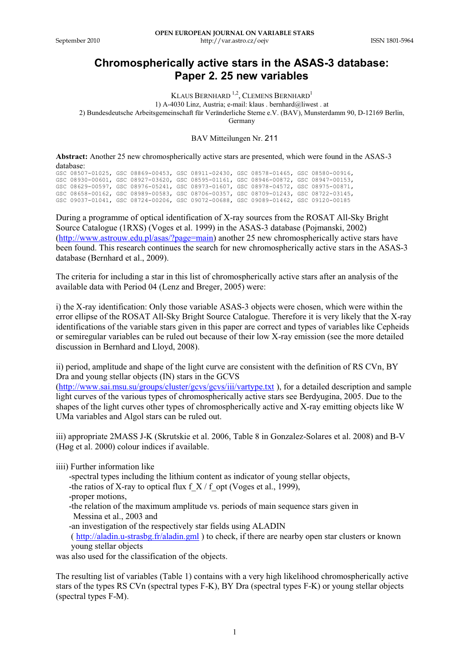## **Chromospherically active stars in the ASAS-3 database: Paper 2. 25 new variables**

KLAUS BERNHARD <sup>1,2</sup>, CLEMENS BERNHARD<sup>1</sup> 1) A-4030 Linz, Austria; e-mail: klaus . bernhard@liwest . at 2) Bundesdeutsche Arbeitsgemeinschaft für Veränderliche Sterne e.V. (BAV), Munsterdamm 90, D-12169 Berlin, Germany

BAV Mitteilungen Nr. 211

**Abstract:** Another 25 new chromospherically active stars are presented, which were found in the ASAS-3 database:

|  |  |  | GSC 08507-01025, GSC 08869-00453, GSC 08911-02430, GSC 08578-01465, GSC 08580-00916, |  |
|--|--|--|--------------------------------------------------------------------------------------|--|
|  |  |  | GSC 08930-00601, GSC 08927-03620, GSC 08595-01161, GSC 08946-00872, GSC 08947-00153, |  |
|  |  |  | GSC 08629-00597, GSC 08976-05241, GSC 08973-01607, GSC 08978-04572, GSC 08975-00871, |  |
|  |  |  | GSC 08658-00162, GSC 08989-00583, GSC 08706-00357, GSC 08709-01243, GSC 08722-03145, |  |
|  |  |  | GSC 09037-01041, GSC 08724-00206, GSC 09072-00688, GSC 09089-01462, GSC 09120-00185  |  |

During a programme of optical identification of X-ray sources from the ROSAT All-Sky Bright Source Catalogue (1RXS) (Voges et al. 1999) in the ASAS-3 database (Pojmanski, 2002) (http://www.astrouw.edu.pl/asas/?page=main) another 25 new chromospherically active stars have been found. This research continues the search for new chromospherically active stars in the ASAS-3 database (Bernhard et al., 2009).

The criteria for including a star in this list of chromospherically active stars after an analysis of the available data with Period 04 (Lenz and Breger, 2005) were:

i) the X-ray identification: Only those variable ASAS-3 objects were chosen, which were within the error ellipse of the ROSAT All-Sky Bright Source Catalogue. Therefore it is very likely that the X-ray identifications of the variable stars given in this paper are correct and types of variables like Cepheids or semiregular variables can be ruled out because of their low X-ray emission (see the more detailed discussion in Bernhard and Lloyd, 2008).

ii) period, amplitude and shape of the light curve are consistent with the definition of RS CVn, BY Dra and young stellar objects (IN) stars in the GCVS

(http://www.sai.msu.su/groups/cluster/gcvs/gcvs/iii/vartype.txt ), for a detailed description and sample light curves of the various types of chromospherically active stars see Berdyugina, 2005. Due to the shapes of the light curves other types of chromospherically active and X-ray emitting objects like W UMa variables and Algol stars can be ruled out.

iii) appropriate 2MASS J-K (Skrutskie et al. 2006, Table 8 in Gonzalez-Solares et al. 2008) and B-V (Høg et al. 2000) colour indices if available.

iiii) Further information like

-spectral types including the lithium content as indicator of young stellar objects,

- -the ratios of X-ray to optical flux  $f(X / f)$  opt (Voges et al., 1999),
- -proper motions,
- -the relation of the maximum amplitude vs. periods of main sequence stars given in Messina et al., 2003 and

-an investigation of the respectively star fields using ALADIN

 ( http://aladin.u-strasbg.fr/aladin.gml ) to check, if there are nearby open star clusters or known young stellar objects

was also used for the classification of the objects.

The resulting list of variables (Table 1) contains with a very high likelihood chromospherically active stars of the types RS CVn (spectral types F-K), BY Dra (spectral types F-K) or young stellar objects (spectral types F-M).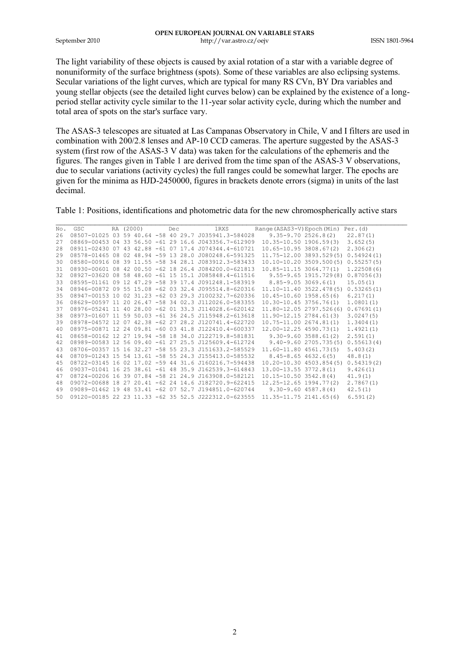The light variability of these objects is caused by axial rotation of a star with a variable degree of nonuniformity of the surface brightness (spots). Some of these variables are also eclipsing systems. Secular variations of the light curves, which are typical for many RS CVn, BY Dra variables and young stellar objects (see the detailed light curves below) can be explained by the existence of a longperiod stellar activity cycle similar to the 11-year solar activity cycle, during which the number and total area of spots on the star's surface vary.

The ASAS-3 telescopes are situated at Las Campanas Observatory in Chile, V and I filters are used in combination with 200/2.8 lenses and AP-10 CCD cameras. The aperture suggested by the ASAS-3 system (first row of the ASAS-3 V data) was taken for the calculations of the ephemeris and the figures. The ranges given in Table 1 are derived from the time span of the ASAS-3 V observations, due to secular variations (activity cycles) the full ranges could be somewhat larger. The epochs are given for the minima as HJD-2450000, figures in brackets denote errors (sigma) in units of the last decimal.

Table 1: Positions, identifications and photometric data for the new chromospherically active stars

| No. | GSC | RA (2000) |  | Dec |  |  | 1RXS                                                 | Range (ASAS3-V) Epoch (Min) Per. (d) |                           |            |
|-----|-----|-----------|--|-----|--|--|------------------------------------------------------|--------------------------------------|---------------------------|------------|
| 26  |     |           |  |     |  |  | 08507-01025 03 59 40.64 -58 40 29.7 J035941.3-584028 |                                      | $9.35 - 9.702526.8(2)$    | 22.87(1)   |
| 27  |     |           |  |     |  |  | 08869-00453 04 33 56.50 -61 29 16.6 J043356.7-612909 | $10.35 - 10.50$ 1906.59(3)           |                           | 3.652(5)   |
| 28  |     |           |  |     |  |  | 08911-02430 07 43 42.88 -61 07 17.4 J074344.4-610721 | $10.65 - 10.95$ 3808.67(2)           |                           | 2.306(2)   |
| 29  |     |           |  |     |  |  | 08578-01465 08 02 48.94 -59 13 28.0 J080248.6-591325 | 11.75-12.00 3893.529(5)              |                           | 0.54924(1) |
| 30  |     |           |  |     |  |  | 08580-00916 08 39 11.55 -58 34 28.1 J083912.3-583433 | $10.10 - 10.20$ 3509.500(5)          |                           | 0.55257(5) |
| 31  |     |           |  |     |  |  | 08930-00601 08 42 00.50 -62 18 26.4 J084200.0-621813 | 10.85-11.15 3064.77(1)               |                           | 1.22508(6) |
| 32  |     |           |  |     |  |  | 08927-03620 08 58 48.60 -61 15 15.1 J085848.4-611516 |                                      | 9.55-9.65 1915.729(8)     | 0.87056(3) |
| 33  |     |           |  |     |  |  | 08595-01161 09 12 47.29 -58 39 17.4 J091248.1-583919 |                                      | $8.85 - 9.053069.6(1)$    | 15.05(1)   |
| 34  |     |           |  |     |  |  | 08946-00872 09 55 15.08 -62 03 32.4 J095514.8-620316 | 11.10-11.40 3522.478(5)              |                           | 0.53265(1) |
| 35  |     |           |  |     |  |  | 08947-00153 10 02 31.23 -62 03 29.3 J100232.7-620336 | $10.45 - 10.60$ 1958.65(6)           |                           | 6.217(1)   |
| 36  |     |           |  |     |  |  | 08629-00597 11 20 26.47 -58 34 02.3 J112026.0-583355 | $10.30 - 10.453756.76(1)$            |                           | 1.0801(1)  |
| 37  |     |           |  |     |  |  | 08976-05241 11 40 28.00 -62 01 33.3 J114028.6-620142 | 11.80-12.05 2797.526(6)              |                           | 0.67691(1) |
| 38  |     |           |  |     |  |  | 08973-01607 11 59 50.03 -61 36 24.5 J115948.2-613618 | 11.90-12.15 2784.61(3)               |                           | 3.0247(5)  |
| 39  |     |           |  |     |  |  | 08978-04572 12 07 42.38 -62 27 28.2 J120741.4-622720 | 10.75-11.00 2674.81(1)               |                           | 1.3404(1)  |
| 40  |     |           |  |     |  |  | 08975-00871 12 24 09.81 -60 03 41.8 J122410.4-600337 | 12.00-12.25 4590.73(1)               |                           | 1.4921(1)  |
| 41  |     |           |  |     |  |  | 08658-00162 12 27 19.94 -58 18 34.0 J122719.8-581831 |                                      | $9.30 - 9.603588.61(2)$   | 2.591(1)   |
| 42  |     |           |  |     |  |  | 08989-00583 12 56 09.40 -61 27 25.5 J125609.4-612724 |                                      | $9.40 - 9.602705.735(5)$  | 0.55613(4) |
| 43  |     |           |  |     |  |  | 08706-00357 15 16 32.27 -58 55 23.3 J151633.2-585529 | 11.60-11.80 4561.73(5)               |                           | 5.403(2)   |
| 44  |     |           |  |     |  |  | 08709-01243 15 54 13.61 -58 55 24.3 J155413.0-585532 |                                      | $8.45 - 8.65$ $4632.6(5)$ | 48.8(1)    |
| 45  |     |           |  |     |  |  | 08722-03145 16 02 17.02 -59 44 31.6 J160216.7-594438 | 10.20-10.30 4503.854(5)              |                           | 0.54319(2) |
| 46  |     |           |  |     |  |  | 09037-01041 16 25 38.61 -61 48 35.9 J162539.3-614843 | 13.00-13.55 3772.8(1)                |                           | 9.426(1)   |
| 47  |     |           |  |     |  |  | 08724-00206 16 39 07.84 -58 21 24.9 J163908.0-582121 | $10.15 - 10.50$ 3542.8(4)            |                           | 41.9(1)    |
| 48  |     |           |  |     |  |  | 09072-00688 18 27 20.41 -62 24 14.6 J182720.9-622415 | $12.25 - 12.65$ 1994.77(2)           |                           | 2.7867(1)  |
| 49  |     |           |  |     |  |  | 09089-01462 19 48 53.41 -62 07 52.7 J194851.0-620744 | $9.30 - 9.60$ 4587.8(4)              |                           | 42.5(1)    |
| 50  |     |           |  |     |  |  | 09120-00185 22 23 11.33 -62 35 52.5 J222312.0-623555 | 11.35-11.75 2141.65(6)               |                           | 6.591(2)   |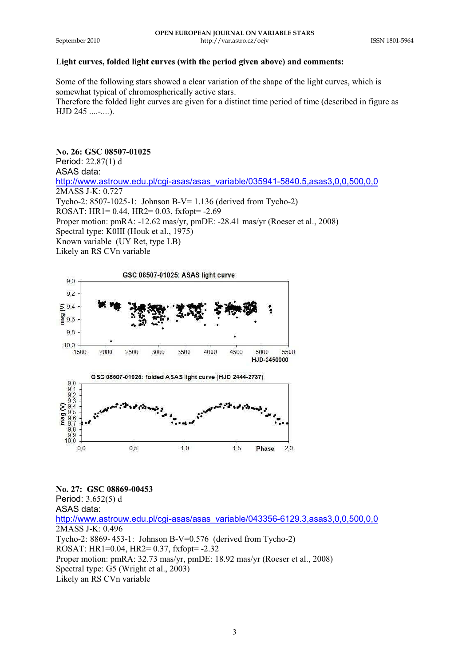## **Light curves, folded light curves (with the period given above) and comments:**

Some of the following stars showed a clear variation of the shape of the light curves, which is somewhat typical of chromospherically active stars.

Therefore the folded light curves are given for a distinct time period of time (described in figure as HJD 245 ....-....).

# **No. 26: GSC 08507-01025**

Period: 22.87(1) d ASAS data:

http://www.astrouw.edu.pl/cgi-asas/asas\_variable/035941-5840.5,asas3,0,0,500,0,0 2MASS J-K: 0.727 Tycho-2: 8507-1025-1: Johnson B-V= 1.136 (derived from Tycho-2)

ROSAT: HR1= 0.44, HR2= 0.03, fxfopt= -2.69

Proper motion: pmRA: -12.62 mas/yr, pmDE: -28.41 mas/yr (Roeser et al., 2008)

Spectral type: K0III (Houk et al., 1975)

Known variable (UY Ret, type LB)

Likely an RS CVn variable



**No. 27: GSC 08869-00453**  Period: 3.652(5) d ASAS data:

http://www.astrouw.edu.pl/cgi-asas/asas\_variable/043356-6129.3,asas3,0,0,500,0,0 2MASS J-K: 0.496 Tycho-2: 8869- 453-1: Johnson B-V=0.576 (derived from Tycho-2) ROSAT: HR1=0.04, HR2= 0.37, fxfopt= -2.32 Proper motion: pmRA: 32.73 mas/yr, pmDE: 18.92 mas/yr (Roeser et al., 2008) Spectral type: G5 (Wright et al., 2003) Likely an RS CVn variable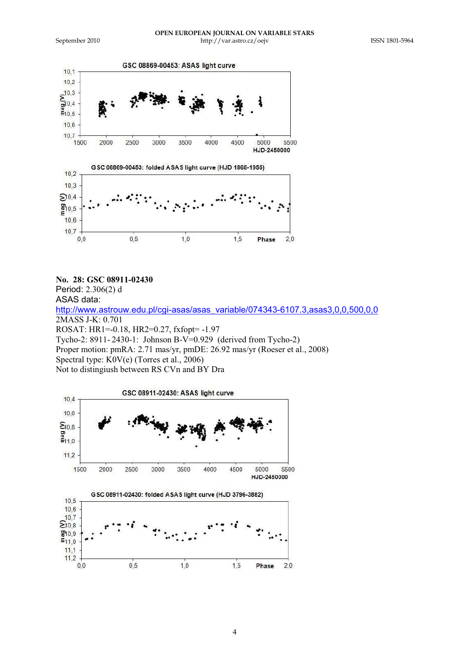

#### **No. 28: GSC 08911-02430**

Period: 2.306(2) d ASAS data: http://www.astrouw.edu.pl/cgi-asas/asas\_variable/074343-6107.3,asas3,0,0,500,0,0 2MASS J-K: 0.701 ROSAT: HR1=-0.18, HR2=0.27, fxfopt= -1.97 Tycho-2: 8911- 2430-1: Johnson B-V=0.929 (derived from Tycho-2) Proper motion: pmRA: 2.71 mas/yr, pmDE: 26.92 mas/yr (Roeser et al., 2008) Spectral type: K0V(e) (Torres et al., 2006) Not to distingiush between RS CVn and BY Dra

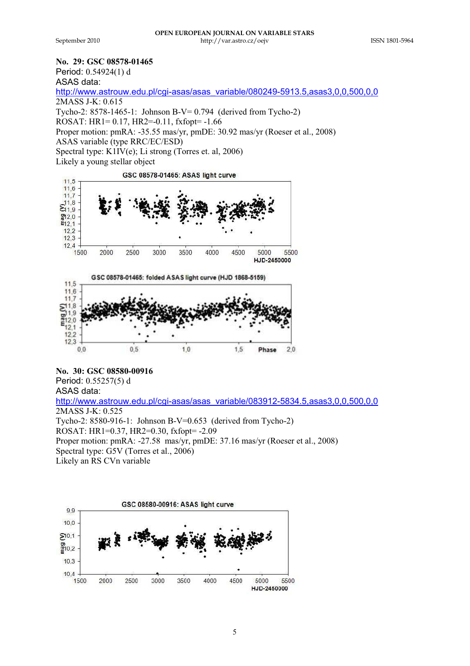#### **No. 29: GSC 08578-01465**

Period: 0.54924(1) d

ASAS data:

http://www.astrouw.edu.pl/cgi-asas/asas\_variable/080249-5913.5,asas3,0,0,500,0,0

2MASS J-K: 0.615

Tycho-2: 8578-1465-1: Johnson B-V= 0.794 (derived from Tycho-2)

ROSAT: HR1= 0.17, HR2=-0.11, fxfopt= -1.66

Proper motion: pmRA: -35.55 mas/yr, pmDE: 30.92 mas/yr (Roeser et al., 2008)

ASAS variable (type RRC/EC/ESD)

Spectral type: K1IV(e); Li strong (Torres et. al, 2006)

Likely a young stellar object

GSC 08578-01465: ASAS light curve





## **No. 30: GSC 08580-00916**

Period: 0.55257(5) d ASAS data: http://www.astrouw.edu.pl/cgi-asas/asas\_variable/083912-5834.5,asas3,0,0,500,0,0 2MASS J-K: 0.525 Tycho-2: 8580-916-1: Johnson B-V=0.653 (derived from Tycho-2) ROSAT: HR1=0.37, HR2=0.30, fxfopt= -2.09 Proper motion: pmRA: -27.58 mas/yr, pmDE: 37.16 mas/yr (Roeser et al., 2008) Spectral type: G5V (Torres et al., 2006) Likely an RS CVn variable

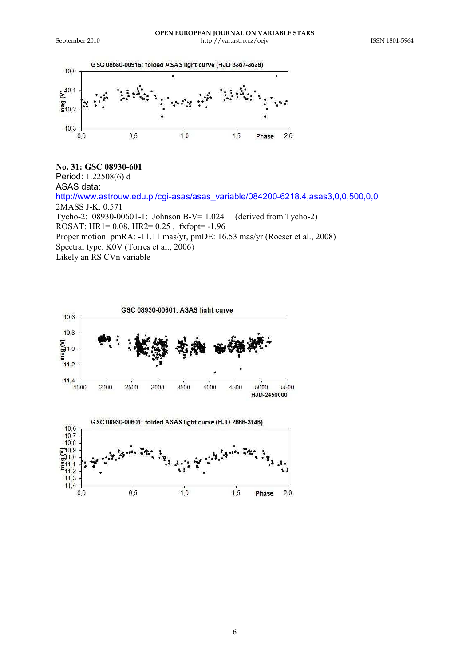$11,2$  $11.3$  $11,4$ 

 $0,0$ 



## **No. 31: GSC 08930-601** Period: 1.22508(6) d ASAS data: http://www.astrouw.edu.pl/cgi-asas/asas\_variable/084200-6218.4,asas3,0,0,500,0,0 2MASS J-K: 0.571 Tycho-2: 08930-00601-1: Johnson B-V= 1.024 (derived from Tycho-2) ROSAT: HR1= 0.08, HR2= 0.25 , fxfopt= -1.96 Proper motion: pmRA: -11.11 mas/yr, pmDE: 16.53 mas/yr (Roeser et al., 2008) Spectral type: K0V (Torres et al., 2006) Likely an RS CVn variable



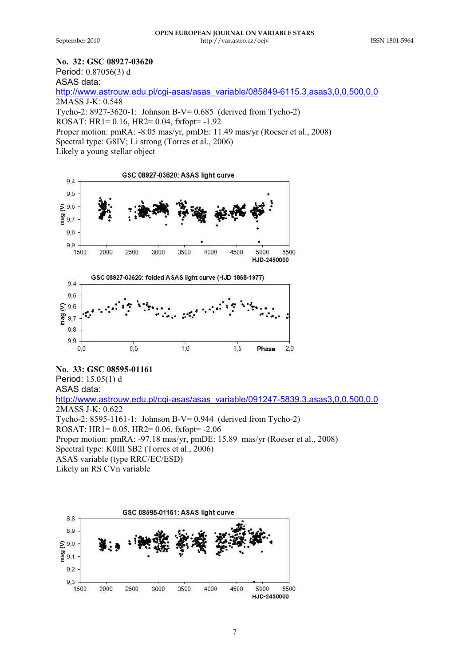## **No. 32: GSC 08927-03620**

Period: 0.87056(3) d

ASAS data:

http://www.astrouw.edu.pl/cgi-asas/asas\_variable/085849-6115.3,asas3,0,0,500,0,0

2MASS J-K: 0.548

Tycho-2: 8927-3620-1: Johnson B-V= 0.685 (derived from Tycho-2)

ROSAT: HR1= 0.16, HR2= 0.04, fxfopt= -1.92

Proper motion: pmRA: -8.05 mas/yr, pmDE: 11.49 mas/yr (Roeser et al., 2008)

Spectral type: G8IV; Li strong (Torres et al., 2006)

Likely a young stellar object



## **No. 33: GSC 08595-01161**

Period: 15.05(1) d ASAS data:

http://www.astrouw.edu.pl/cgi-asas/asas\_variable/091247-5839.3,asas3,0,0,500,0,0 2MASS J-K: 0.622 Tycho-2: 8595-1161-1: Johnson B-V= 0.944 (derived from Tycho-2)

ROSAT: HR1= 0.05, HR2= 0.06, fxfopt= -2.06

Proper motion: pmRA: -97.18 mas/yr, pmDE: 15.89 mas/yr (Roeser et al., 2008)

Spectral type: K0III SB2 (Torres et al., 2006)

ASAS variable (type RRC/EC/ESD)

Likely an RS CVn variable

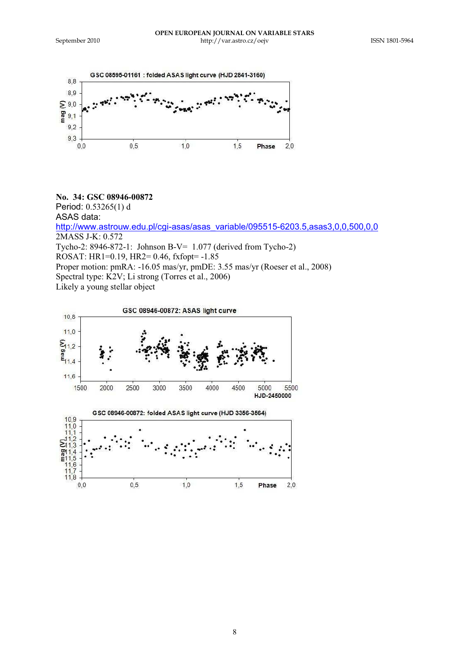

**No. 34: GSC 08946-00872** Period: 0.53265(1) d ASAS data: http://www.astrouw.edu.pl/cgi-asas/asas\_variable/095515-6203.5,asas3,0,0,500,0,0 2MASS J-K: 0.572 Tycho-2: 8946-872-1: Johnson B-V= 1.077 (derived from Tycho-2) ROSAT: HR1=0.19, HR2= 0.46, fxfopt= -1.85 Proper motion: pmRA: -16.05 mas/yr, pmDE: 3.55 mas/yr (Roeser et al., 2008) Spectral type: K<sub>2</sub>V; Li strong (Torres et al., 2006)

Likely a young stellar object



8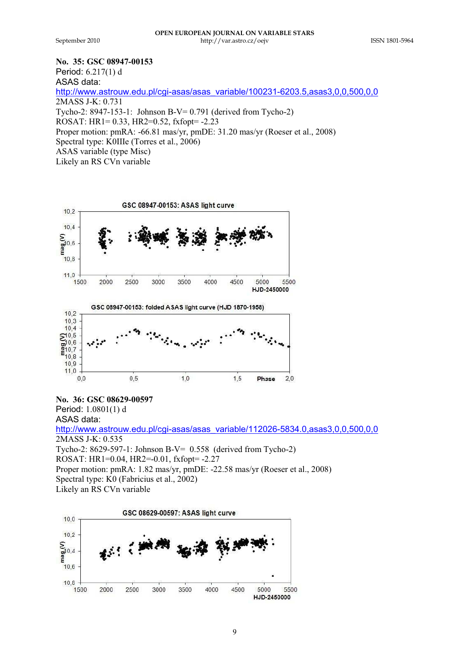$0,0$ 

 $0,5$ 

## **No. 35: GSC 08947-00153**

Period: 6.217(1) d ASAS data: http://www.astrouw.edu.pl/cgi-asas/asas\_variable/100231-6203.5,asas3,0,0,500,0,0 2MASS J-K: 0.731 Tycho-2: 8947-153-1: Johnson B-V= 0.791 (derived from Tycho-2) ROSAT: HR1= 0.33, HR2=0.52, fxfopt= -2.23 Proper motion: pmRA: -66.81 mas/yr, pmDE: 31.20 mas/yr (Roeser et al., 2008) Spectral type: K0IIIe (Torres et al., 2006) ASAS variable (type Misc) Likely an RS CVn variable



 $1,0$ 

**No. 36: GSC 08629-00597** Period: 1.0801(1) d ASAS data: http://www.astrouw.edu.pl/cgi-asas/asas\_variable/112026-5834.0,asas3,0,0,500,0,0 2MASS J-K: 0.535 Tycho-2: 8629-597-1: Johnson B-V= 0.558 (derived from Tycho-2) ROSAT: HR1=0.04, HR2=-0.01, fxfopt= -2.27 Proper motion: pmRA: 1.82 mas/yr, pmDE: -22.58 mas/yr (Roeser et al., 2008) Spectral type: K0 (Fabricius et al., 2002) Likely an RS CVn variable

 $1,5$ 

 $2.0$ 

Phase

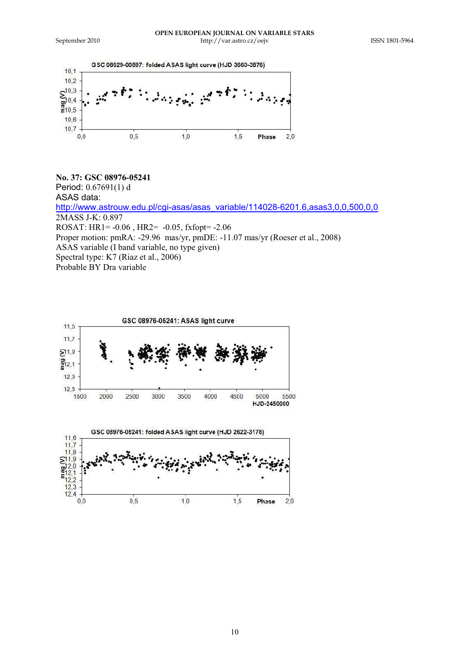

**No. 37: GSC 08976-05241** Period: 0.67691(1) d ASAS data: http://www.astrouw.edu.pl/cgi-asas/asas\_variable/114028-6201.6,asas3,0,0,500,0,0 2MASS J-K: 0.897 ROSAT: HR1= -0.06 , HR2= -0.05, fxfopt= -2.06 Proper motion: pmRA: -29.96 mas/yr, pmDE: -11.07 mas/yr (Roeser et al., 2008) ASAS variable (I band variable, no type given) Spectral type: K7 (Riaz et al., 2006) Probable BY Dra variable





10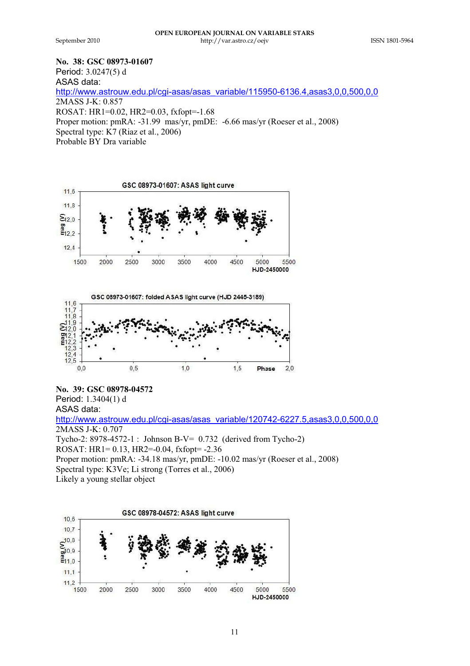**No. 38: GSC 08973-01607** 

Period: 3.0247(5) d ASAS data: http://www.astrouw.edu.pl/cgi-asas/asas\_variable/115950-6136.4,asas3,0,0,500,0,0 2MASS J-K: 0.857 ROSAT: HR1=0.02, HR2=0.03, fxfopt=-1.68 Proper motion: pmRA: -31.99 mas/yr, pmDE: -6.66 mas/yr (Roeser et al., 2008) Spectral type: K7 (Riaz et al., 2006) Probable BY Dra variable





**No. 39: GSC 08978-04572**

Period: 1.3404(1) d ASAS data:

http://www.astrouw.edu.pl/cgi-asas/asas\_variable/120742-6227.5,asas3,0,0,500,0,0 2MASS J-K: 0.707 Tycho-2: 8978-4572-1 : Johnson B-V= 0.732 (derived from Tycho-2) ROSAT: HR1= 0.13, HR2=-0.04, fxfopt= -2.36 Proper motion: pmRA: -34.18 mas/yr, pmDE: -10.02 mas/yr (Roeser et al., 2008) Spectral type: K3Ve; Li strong (Torres et al., 2006) Likely a young stellar object

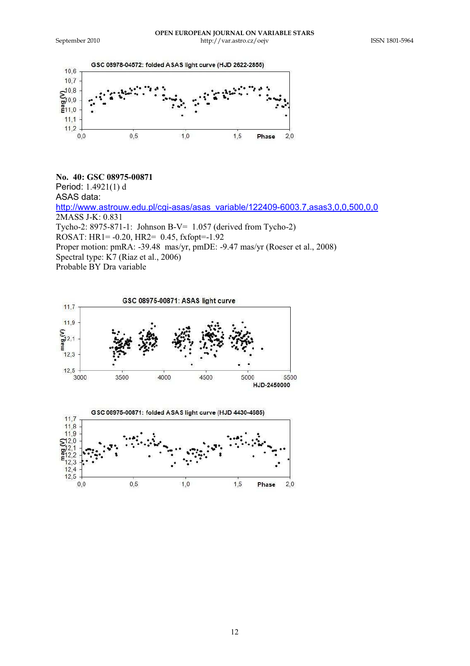

**No. 40: GSC 08975-00871**  Period: 1.4921(1) d ASAS data: http://www.astrouw.edu.pl/cgi-asas/asas\_variable/122409-6003.7,asas3,0,0,500,0,0 2MASS J-K: 0.831 Tycho-2: 8975-871-1: Johnson B-V= 1.057 (derived from Tycho-2) ROSAT: HR1= -0.20, HR2= 0.45, fxfopt=-1.92 Proper motion: pmRA: -39.48 mas/yr, pmDE: -9.47 mas/yr (Roeser et al., 2008) Spectral type: K7 (Riaz et al., 2006) Probable BY Dra variable



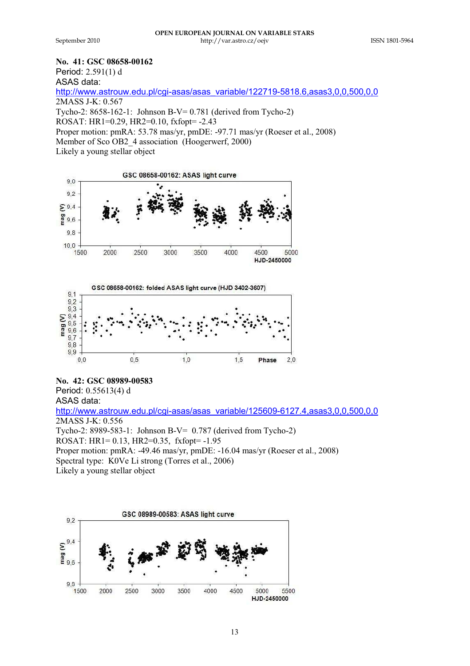## **No. 41: GSC 08658-00162**

Period: 2.591(1) d

ASAS data:

http://www.astrouw.edu.pl/cgi-asas/asas\_variable/122719-5818.6,asas3,0,0,500,0,0 2MASS J-K: 0.567

Tycho-2: 8658-162-1: Johnson B-V= 0.781 (derived from Tycho-2)

ROSAT: HR1=0.29, HR2=0.10, fxfopt= -2.43

Proper motion: pmRA: 53.78 mas/yr, pmDE: -97.71 mas/yr (Roeser et al., 2008)

Member of Sco OB2\_4 association (Hoogerwerf, 2000)

Likely a young stellar object





**No. 42: GSC 08989-00583** Period: 0.55613(4) d

ASAS data: http://www.astrouw.edu.pl/cgi-asas/asas\_variable/125609-6127.4,asas3,0,0,500,0,0 2MASS J-K: 0.556 Tycho-2: 8989-583-1: Johnson B-V= 0.787 (derived from Tycho-2) ROSAT: HR1= 0.13, HR2=0.35, fxfopt= -1.95 Proper motion: pmRA: -49.46 mas/yr, pmDE: -16.04 mas/yr (Roeser et al., 2008) Spectral type: K0Ve Li strong (Torres et al., 2006)

Likely a young stellar object

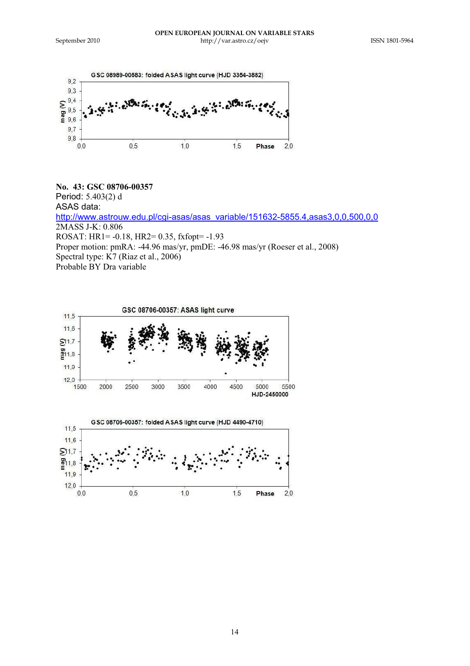

**No. 43: GSC 08706-00357**  Period: 5.403(2) d ASAS data: http://www.astrouw.edu.pl/cgi-asas/asas\_variable/151632-5855.4,asas3,0,0,500,0,0 2MASS J-K: 0.806 ROSAT: HR1= -0.18, HR2= 0.35, fxfopt= -1.93 Proper motion: pmRA: -44.96 mas/yr, pmDE: -46.98 mas/yr (Roeser et al., 2008) Spectral type: K7 (Riaz et al., 2006) Probable BY Dra variable

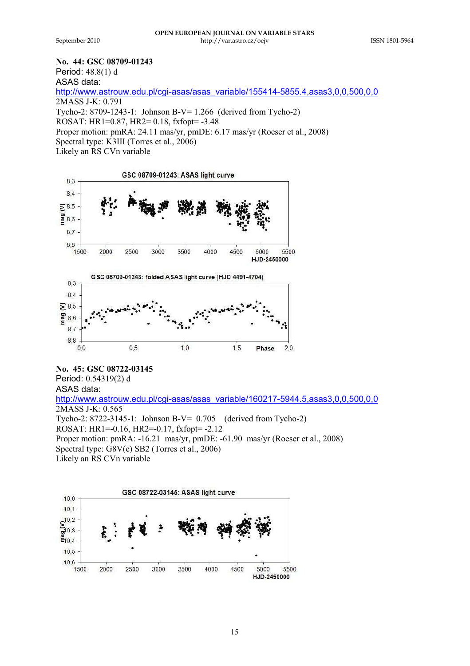**No. 44: GSC 08709-01243**

Period: 48.8(1) d

ASAS data:

http://www.astrouw.edu.pl/cgi-asas/asas\_variable/155414-5855.4,asas3,0,0,500,0,0 2MASS J-K: 0.791 Tycho-2: 8709-1243-1: Johnson B-V= 1.266 (derived from Tycho-2) ROSAT: HR1=0.87, HR2= 0.18, fxfopt= -3.48 Proper motion: pmRA: 24.11 mas/yr, pmDE: 6.17 mas/yr (Roeser et al., 2008) Spectral type: K3III (Torres et al., 2006)

Likely an RS CVn variable



**No. 45: GSC 08722-03145**

Period: 0.54319(2) d

ASAS data: http://www.astrouw.edu.pl/cgi-asas/asas\_variable/160217-5944.5,asas3,0,0,500,0,0 2MASS J-K: 0.565 Tycho-2: 8722-3145-1: Johnson B-V= 0.705 (derived from Tycho-2) ROSAT: HR1=-0.16, HR2=-0.17, fxfopt= -2.12 Proper motion: pmRA: -16.21 mas/yr, pmDE: -61.90 mas/yr (Roeser et al., 2008) Spectral type: G8V(e) SB2 (Torres et al., 2006)

Likely an RS CVn variable

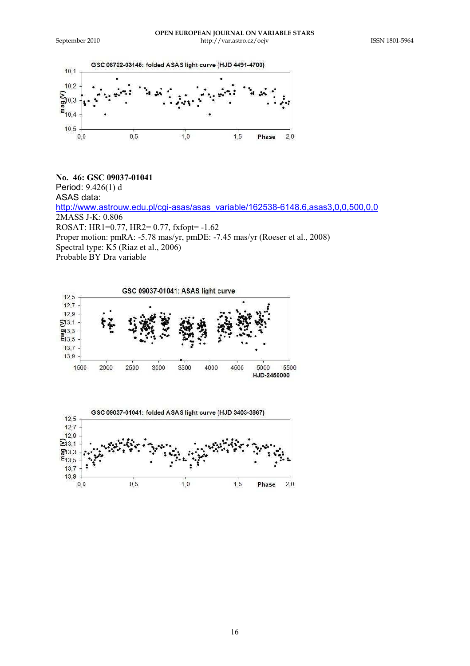

**No. 46: GSC 09037-01041**  Period: 9.426(1) d ASAS data: http://www.astrouw.edu.pl/cgi-asas/asas\_variable/162538-6148.6,asas3,0,0,500,0,0 2MASS J-K: 0.806 ROSAT: HR1=0.77, HR2= 0.77, fxfopt= -1.62 Proper motion: pmRA: -5.78 mas/yr, pmDE: -7.45 mas/yr (Roeser et al., 2008) Spectral type: K<sub>2</sub> (Riaz et al., 2006) Probable BY Dra variable



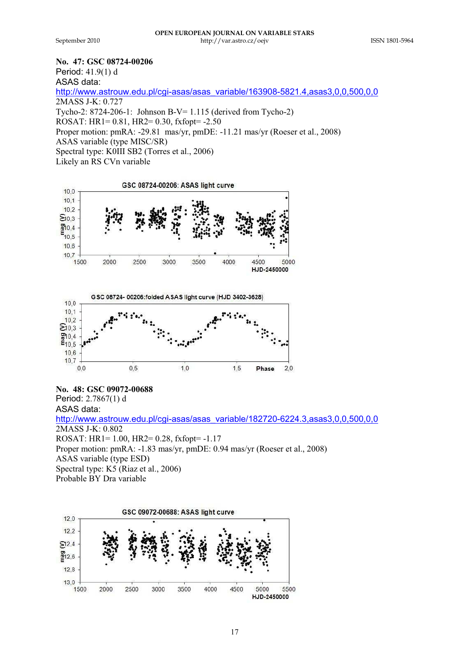**No. 47: GSC 08724-00206** 

Period: 41.9(1) d

ASAS data:

http://www.astrouw.edu.pl/cgi-asas/asas\_variable/163908-5821.4,asas3,0,0,500,0,0 2MASS J-K: 0.727 Tycho-2: 8724-206-1: Johnson B-V= 1.115 (derived from Tycho-2) ROSAT: HR1= 0.81, HR2= 0.30, fxfopt= -2.50 Proper motion: pmRA: -29.81 mas/yr, pmDE: -11.21 mas/yr (Roeser et al., 2008) ASAS variable (type MISC/SR) Spectral type: K0III SB2 (Torres et al., 2006) Likely an RS CVn variable





**No. 48: GSC 09072-00688** Period: 2.7867(1) d ASAS data: http://www.astrouw.edu.pl/cgi-asas/asas\_variable/182720-6224.3,asas3,0,0,500,0,0  $2MASS$  J-K $\cdot$  0.802 ROSAT: HR1= 1.00, HR2= 0.28, fxfopt= -1.17 Proper motion: pmRA: -1.83 mas/yr, pmDE: 0.94 mas/yr (Roeser et al., 2008) ASAS variable (type ESD) Spectral type: K5 (Riaz et al., 2006) Probable BY Dra variable

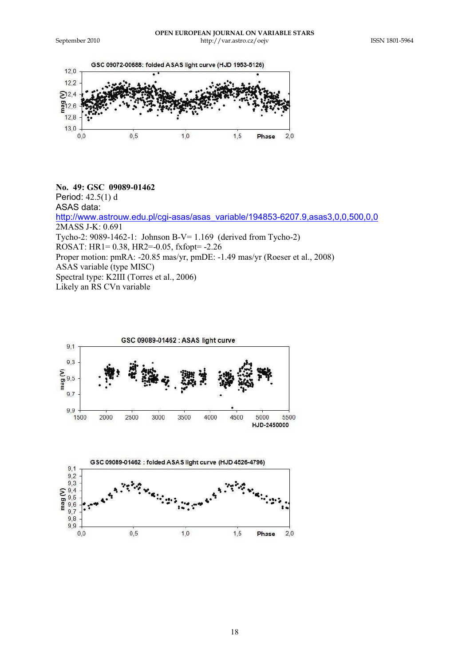

## **No. 49: GSC 09089-01462**

Period: 42.5(1) d

ASAS data:

http://www.astrouw.edu.pl/cgi-asas/asas\_variable/194853-6207.9,asas3,0,0,500,0,0 2MASS J-K: 0.691 Tycho-2: 9089-1462-1: Johnson B-V= 1.169 (derived from Tycho-2) ROSAT: HR1= 0.38, HR2=-0.05, fxfopt= -2.26 Proper motion: pmRA: -20.85 mas/yr, pmDE: -1.49 mas/yr (Roeser et al., 2008) ASAS variable (type MISC) Spectral type: K2III (Torres et al., 2006)

Likely an RS CVn variable

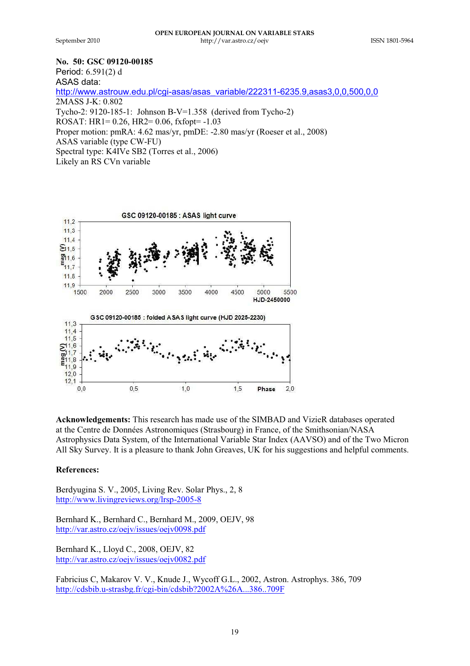## **No. 50: GSC 09120-00185**

Period: 6.591(2) d ASAS data: http://www.astrouw.edu.pl/cgi-asas/asas\_variable/222311-6235.9,asas3,0,0,500,0,0 2MASS J-K: 0.802 Tycho-2: 9120-185-1: Johnson B-V=1.358 (derived from Tycho-2) ROSAT: HR1= 0.26, HR2= 0.06, fxfopt= -1.03 Proper motion: pmRA: 4.62 mas/yr, pmDE: -2.80 mas/yr (Roeser et al., 2008) ASAS variable (type CW-FU) Spectral type: K4IVe SB2 (Torres et al., 2006) Likely an RS CVn variable



**Acknowledgements:** This research has made use of the SIMBAD and VizieR databases operated at the Centre de Données Astronomiques (Strasbourg) in France, of the Smithsonian/NASA Astrophysics Data System, of the International Variable Star Index (AAVSO) and of the Two Micron All Sky Survey. It is a pleasure to thank John Greaves, UK for his suggestions and helpful comments.

## **References:**

Berdyugina S. V., 2005, Living Rev. Solar Phys., 2, 8 http://www.livingreviews.org/lrsp-2005-8

Bernhard K., Bernhard C., Bernhard M., 2009, OEJV, 98 http://var.astro.cz/oejv/issues/oejv0098.pdf

Bernhard K., Lloyd C., 2008, OEJV, 82 http://var.astro.cz/oejv/issues/oejv0082.pdf

Fabricius C, Makarov V. V., Knude J., Wycoff G.L., 2002, Astron. Astrophys. 386, 709 http://cdsbib.u-strasbg.fr/cgi-bin/cdsbib?2002A%26A...386..709F